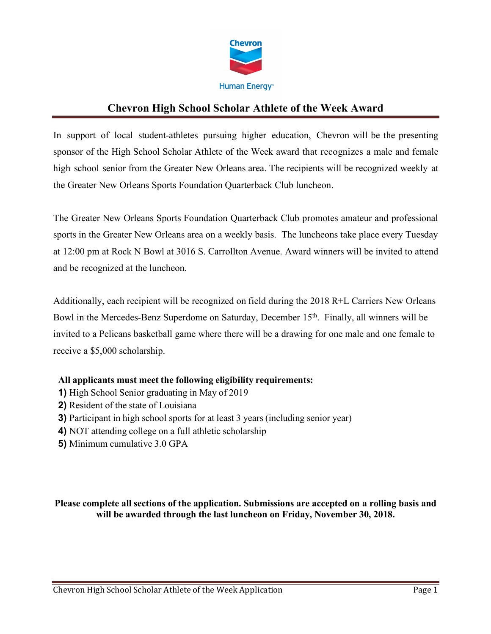

In support of local student-athletes pursuing higher education, Chevron will be the presenting sponsor of the High School Scholar Athlete of the Week award that recognizes a male and female high school senior from the Greater New Orleans area. The recipients will be recognized weekly at the Greater New Orleans Sports Foundation Quarterback Club luncheon.

The Greater New Orleans Sports Foundation Quarterback Club promotes amateur and professional sports in the Greater New Orleans area on a weekly basis. The luncheons take place every Tuesday at 12:00 pm at Rock N Bowl at 3016 S. Carrollton Avenue. Award winners will be invited to attend and be recognized at the luncheon.

Additionally, each recipient will be recognized on field during the 2018 R+L Carriers New Orleans Bowl in the Mercedes-Benz Superdome on Saturday, December 15<sup>th</sup>. Finally, all winners will be invited to a Pelicans basketball game where there will be a drawing for one male and one female to receive a \$5,000 scholarship.

# **All applicants must meet the following eligibility requirements:**

- **1)** High School Senior graduating in May of 2019
- **2)** Resident of the state of Louisiana
- **3)** Participant in high school sports for at least 3 years (including senior year)
- **4)** NOT attending college on a full athletic scholarship
- **5)** Minimum cumulative 3.0 GPA

## **Please complete all sections of the application. Submissions are accepted on a rolling basis and will be awarded through the last luncheon on Friday, November 30, 2018.**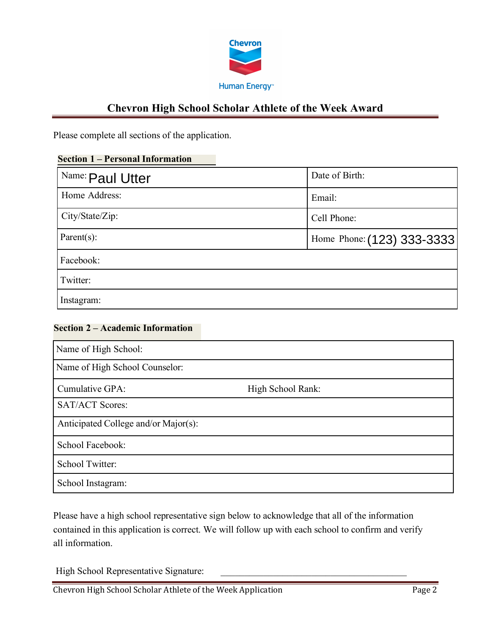

Please complete all sections of the application.

## **Section 1 – Personal Information**

| Name: Paul Utter | Date of Birth:             |
|------------------|----------------------------|
| Home Address:    | Email:                     |
| City/State/Zip:  | Cell Phone:                |
| Parent $(s)$ :   | Home Phone: (123) 333-3333 |
| Facebook:        |                            |
| Twitter:         |                            |
| Instagram:       |                            |

#### **Section 2 – Academic Information**

| Name of High School:                 |                   |  |
|--------------------------------------|-------------------|--|
| Name of High School Counselor:       |                   |  |
| Cumulative GPA:                      | High School Rank: |  |
| <b>SAT/ACT Scores:</b>               |                   |  |
| Anticipated College and/or Major(s): |                   |  |
| School Facebook:                     |                   |  |
| School Twitter:                      |                   |  |
| School Instagram:                    |                   |  |

Please have a high school representative sign below to acknowledge that all of the information contained in this application is correct. We will follow up with each school to confirm and verify all information.

High School Representative Signature:

Chevron High School Scholar Athlete of the Week Application Page 2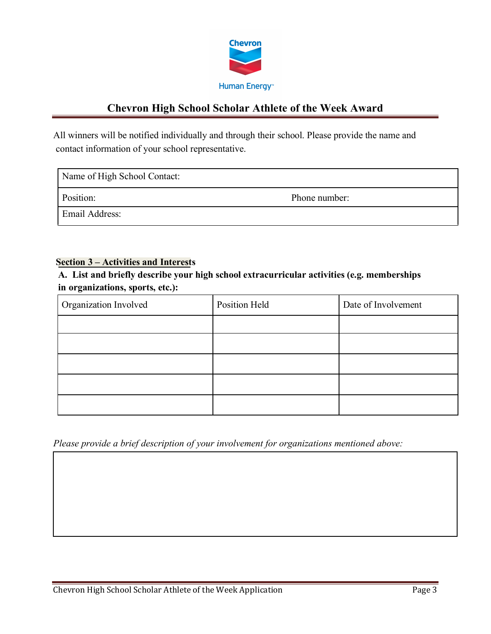

All winners will be notified individually and through their school. Please provide the name and contact information of your school representative.

| Name of High School Contact: |               |
|------------------------------|---------------|
| Position:                    | Phone number: |
| <b>Email Address:</b>        |               |

#### **Section 3 – Activities and Interests**

**A. List and briefly describe your high school extracurricular activities (e.g. memberships in organizations, sports, etc.):**

| Organization Involved | Position Held | Date of Involvement |
|-----------------------|---------------|---------------------|
|                       |               |                     |
|                       |               |                     |
|                       |               |                     |
|                       |               |                     |
|                       |               |                     |

*Please provide a brief description of your involvement for organizations mentioned above:*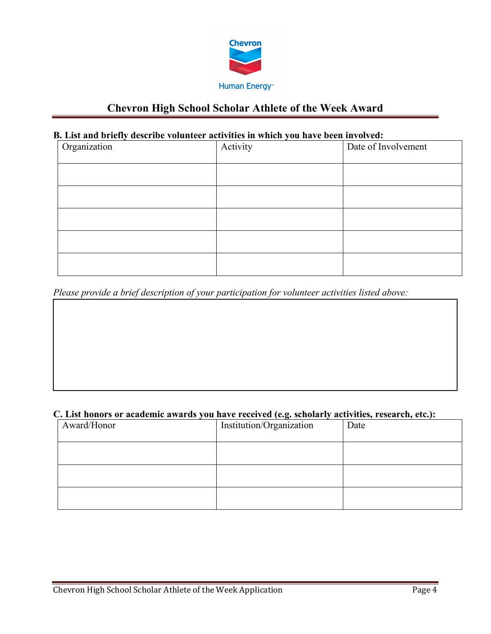

## **B. List and briefly describe volunteer activities in which you have been involved:**

| Organization | Activity | Date of Involvement |
|--------------|----------|---------------------|
|              |          |                     |
|              |          |                     |
|              |          |                     |
|              |          |                     |
|              |          |                     |

*Please provide a brief description of your participation for volunteer activities listed above:* 

## **C. List honors or academic awards you have received (e.g. scholarly activities, research, etc.):**

| Award/Honor | Institution/Organization | Date |
|-------------|--------------------------|------|
|             |                          |      |
|             |                          |      |
|             |                          |      |